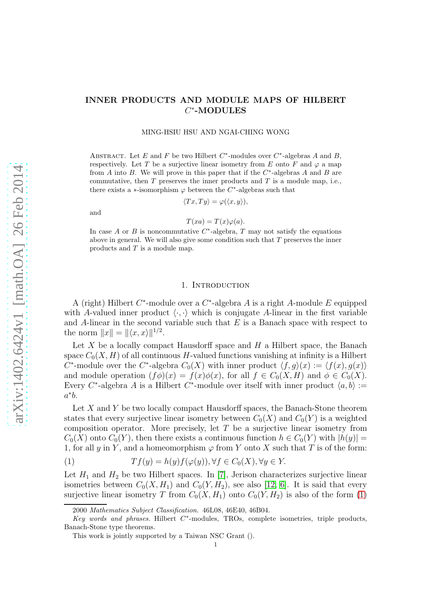# INNER PRODUCTS AND MODULE MAPS OF HILBERT  $C^*$ -MODULES

#### MING-HSIU HSU AND NGAI-CHING WONG

ABSTRACT. Let E and F be two Hilbert  $C^*$ -modules over  $C^*$ -algebras A and B, respectively. Let T be a surjective linear isometry from E onto F and  $\varphi$  a map from A into B. We will prove in this paper that if the  $C^*$ -algebras A and B are commutative, then T preserves the inner products and T is a module map, i.e., there exists a ∗-isomorphism  $\varphi$  between the C<sup>\*</sup>-algebras such that

$$
Tx, Ty \rangle = \varphi(\langle x, y \rangle),
$$

and

$$
T(xa) = T(x)\varphi(a).
$$

In case A or B is noncommutative  $C^*$ -algebra, T may not satisfy the equations above in general. We will also give some condition such that  $T$  preserves the inner products and T is a module map.

## 1. INTRODUCTION

A (right) Hilbert  $C^*$ -module over a  $C^*$ -algebra A is a right A-module E equipped with A-valued inner product  $\langle \cdot, \cdot \rangle$  which is conjugate A-linear in the first variable and  $A$ -linear in the second variable such that  $E$  is a Banach space with respect to the norm  $||x|| = ||\langle x, x\rangle||^{1/2}$ .

Let  $X$  be a locally compact Hausdorff space and  $H$  a Hilbert space, the Banach space  $C_0(X, H)$  of all continuous H-valued functions vanishing at infinity is a Hilbert  $\hat{C}^*$ -module over the  $C^*$ -algebra  $C_0(X)$  with inner product  $\langle f, g \rangle(x) := \langle f(x), g(x) \rangle$ and module operation  $(f\phi)(x) = f(x)\phi(x)$ , for all  $f \in C_0(X, H)$  and  $\phi \in C_0(X)$ . Every C<sup>\*</sup>-algebra A is a Hilbert C<sup>\*</sup>-module over itself with inner product  $\langle a, b \rangle :=$  $a^*b$ .

Let  $X$  and  $Y$  be two locally compact Hausdorff spaces, the Banach-Stone theorem states that every surjective linear isometry between  $C_0(X)$  and  $C_0(Y)$  is a weighted composition operator. More precisely, let T be a surjective linear isometry from  $C_0(X)$  onto  $C_0(Y)$ , then there exists a continuous function  $h \in C_0(Y)$  with  $|h(y)| =$ 1, for all y in Y, and a homeomorphism  $\varphi$  from Y onto X such that T is of the form:

<span id="page-0-0"></span>(1) 
$$
Tf(y) = h(y)f(\varphi(y)), \forall f \in C_0(X), \forall y \in Y.
$$

Let  $H_1$  and  $H_2$  be two Hilbert spaces. In [\[7\]](#page-5-0), Jerison characterizes surjective linear isometries between  $C_0(X, H_1)$  and  $C_0(Y, H_2)$ , see also [\[12,](#page-6-0) [6\]](#page-5-1). It is said that every surjective linear isometry T from  $C_0(X, H_1)$  onto  $C_0(Y, H_2)$  is also of the form [\(1\)](#page-0-0)

<sup>2000</sup> Mathematics Subject Classification. 46L08, 46E40, 46B04.

Key words and phrases. Hilbert C<sup>\*</sup>-modules, TROs, complete isometries, triple products, Banach-Stone type theorems.

This work is jointly supported by a Taiwan NSC Grant ().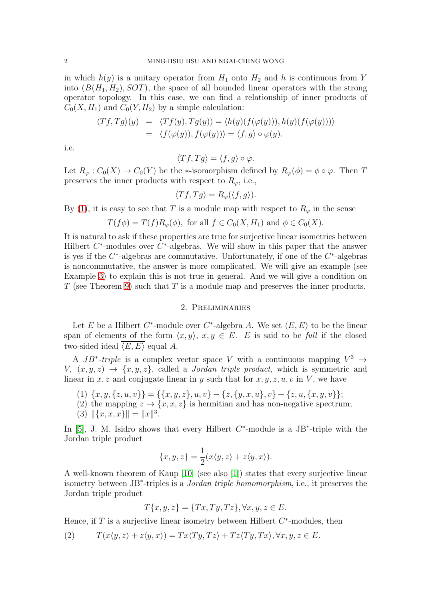in which  $h(y)$  is a unitary operator from  $H_1$  onto  $H_2$  and h is continuous from Y into  $(B(H_1, H_2), SOT)$ , the space of all bounded linear operators with the strong operator topology. In this case, we can find a relationship of inner products of  $C_0(X, H_1)$  and  $C_0(Y, H_2)$  by a simple calculation:

$$
\langle Tf, Tg \rangle(y) = \langle Tf(y), Tg(y) \rangle = \langle h(y)(f(\varphi(y))), h(y)(f(\varphi(y))) \rangle
$$
  
= 
$$
\langle f(\varphi(y)), f(\varphi(y)) \rangle = \langle f, g \rangle \circ \varphi(y).
$$

i.e.

$$
\langle Tf, Tg \rangle = \langle f, g \rangle \circ \varphi.
$$

Let  $R_{\varphi}: C_0(X) \to C_0(Y)$  be the  $\ast$ -isomorphism defined by  $R_{\varphi}(\phi) = \phi \circ \varphi$ . Then T preserves the inner products with respect to  $R_{\varphi}$ , i.e.,

$$
\langle Tf, Tg \rangle = R_{\varphi}(\langle f, g \rangle).
$$

By [\(1\)](#page-0-0), it is easy to see that T is a module map with respect to  $R_{\varphi}$  in the sense

$$
T(f\phi) = T(f)R_{\varphi}(\phi), \text{ for all } f \in C_0(X, H_1) \text{ and } \phi \in C_0(X).
$$

It is natural to ask if these properties are true for surjective linear isometries between Hilbert  $C^*$ -modules over  $C^*$ -algebras. We will show in this paper that the answer is yes if the  $C^*$ -algebras are commutative. Unfortunately, if one of the  $C^*$ -algebras is noncommutative, the answer is more complicated. We will give an example (see Example [3\)](#page-3-0) to explain this is not true in general. And we will give a condition on T (see Theorem [9\)](#page-5-2) such that T is a module map and preserves the inner products.

### 2. Preliminaries

Let E be a Hilbert C<sup>\*</sup>-module over C<sup>\*</sup>-algebra A. We set  $\langle E, E \rangle$  to be the linear span of elements of the form  $\langle x, y \rangle$ ,  $x, y \in E$ . E is said to be full if the closed two-sided ideal  $\overline{\langle E, E \rangle}$  equal A.

A  $JB^*$ -triple is a complex vector space V with a continuous mapping  $V^3 \rightarrow$  $V, (x, y, z) \rightarrow \{x, y, z\},$  called a *Jordan triple product*, which is symmetric and linear in x, z and conjugate linear in y such that for  $x, y, z, u, v$  in V, we have

- (1)  ${x, y, {z, u, v}} = {x, y, z}, u, v {z, {y, x, u}, v} + {z, u, {x, y, v}};$
- (2) the mapping  $z \to \{x, x, z\}$  is hermitian and has non-negative spectrum;
- (3)  $\|\{x, x, x\}\| = \|x\|^3$ .

In [\[5\]](#page-5-3), J. M. Isidro shows that every Hilbert  $C^*$ -module is a JB<sup>\*</sup>-triple with the Jordan triple product

$$
\{x, y, z\} = \frac{1}{2}(x \langle y, z \rangle + z \langle y, x \rangle).
$$

A well-known theorem of Kaup [\[10\]](#page-5-4) (see also [\[1\]](#page-5-5)) states that every surjective linear isometry between JB<sup>∗</sup> -triples is a Jordan triple homomorphism, i.e., it preserves the Jordan triple product

$$
T\{x, y, z\} = \{Tx, Ty, Tz\}, \forall x, y, z \in E.
$$

Hence, if  $T$  is a surjective linear isometry between Hilbert  $C^*$ -modules, then

<span id="page-1-0"></span>(2) 
$$
T(x\langle y,z\rangle + z\langle y,x\rangle) = Tx\langle Ty,Tz\rangle + Tz\langle Ty,Tx\rangle, \forall x,y,z \in E.
$$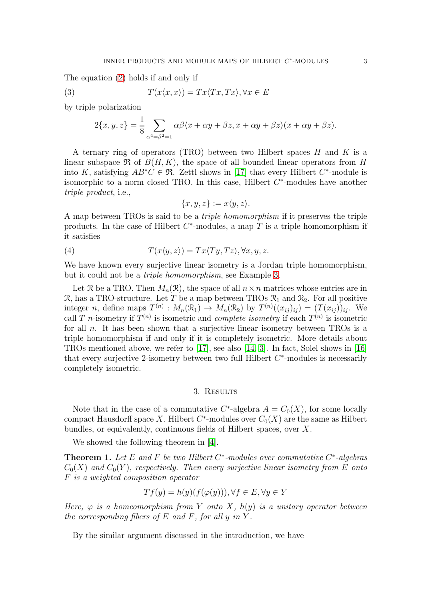The equation [\(2\)](#page-1-0) holds if and only if

(3) 
$$
T(x \langle x, x \rangle) = Tx \langle Tx, Tx \rangle, \forall x \in E
$$

by triple polarization

$$
2\{x, y, z\} = \frac{1}{8} \sum_{\alpha^4 = \beta^2 = 1} \alpha \beta \langle x + \alpha y + \beta z, x + \alpha y + \beta z \rangle (x + \alpha y + \beta z).
$$

A ternary ring of operators (TRO) between two Hilbert spaces  $H$  and  $K$  is a linear subspace  $\Re$  of  $B(H, K)$ , the space of all bounded linear operators from H into K, satisfying  $AB^*C \in \mathfrak{R}$ . Zettl shows in [\[17\]](#page-6-1) that every Hilbert C<sup>\*</sup>-module is isomorphic to a norm closed TRO. In this case, Hilbert  $C^*$ -modules have another triple product, i.e.,

<span id="page-2-0"></span>
$$
\{x, y, z\} := x\langle y, z\rangle.
$$

A map between TROs is said to be a triple homomorphism if it preserves the triple products. In the case of Hilbert  $C^*$ -modules, a map T is a triple homomorphism if it satisfies

(4) 
$$
T(x \langle y, z \rangle) = Tx \langle Ty, Tz \rangle, \forall x, y, z.
$$

We have known every surjective linear isometry is a Jordan triple homomorphism, but it could not be a triple homomorphism, see Example [3.](#page-3-0)

Let R be a TRO. Then  $M_n(\mathcal{R})$ , the space of all  $n \times n$  matrices whose entries are in R, has a TRO-structure. Let T be a map between TROs  $\mathcal{R}_1$  and  $\mathcal{R}_2$ . For all positive integer *n*, define maps  $T^{(n)}$ :  $M_n(\mathcal{R}_1) \to M_n(\mathcal{R}_2)$  by  $T^{(n)}((x_{ij})_{ij}) = (T(x_{ij}))_{ij}$ . We call T n-isometry if  $T^{(n)}$  is isometric and *complete isometry* if each  $T^{(n)}$  is isometric for all  $n$ . It has been shown that a surjective linear isometry between TROs is a triple homomorphism if and only if it is completely isometric. More details about TROs mentioned above, we refer to [\[17\]](#page-6-1), see also [\[14,](#page-6-2) [3\]](#page-5-6). In fact, Solel shows in [\[16\]](#page-6-3) that every surjective 2-isometry between two full Hilbert  $C^*$ -modules is necessarily completely isometric.

## 3. Results

Note that in the case of a commutative  $C^*$ -algebra  $A = C_0(X)$ , for some locally compact Hausdorff space X, Hilbert  $C^*$ -modules over  $C_0(X)$  are the same as Hilbert bundles, or equivalently, continuous fields of Hilbert spaces, over X.

We showed the following theorem in [\[4\]](#page-5-7).

**Theorem 1.** Let E and F be two Hilbert  $C^*$ -modules over commutative  $C^*$ -algebras  $C_0(X)$  and  $C_0(Y)$ , respectively. Then every surjective linear isometry from E onto F is a weighted composition operator

$$
Tf(y) = h(y)(f(\varphi(y))), \forall f \in E, \forall y \in Y
$$

Here,  $\varphi$  is a homeomorphism from Y onto X,  $h(y)$  is a unitary operator between the corresponding fibers of  $E$  and  $F$ , for all  $y$  in  $Y$ .

By the similar argument discussed in the introduction, we have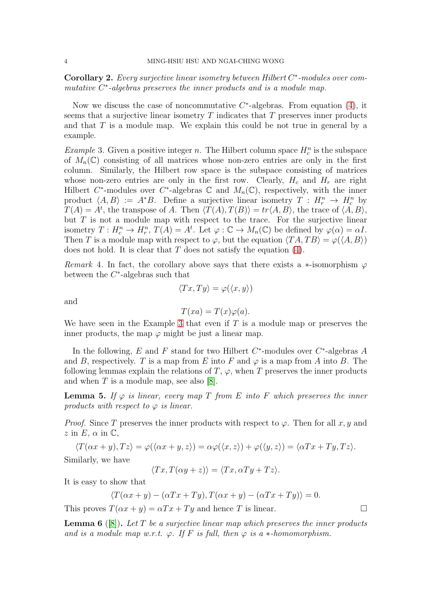**Corollary 2.** Every surjective linear isometry between Hilbert  $C^*$ -modules over commutative  $C^*$ -algebras preserves the inner products and is a module map.

Now we discuss the case of noncommutative  $C^*$ -algebras. From equation [\(4\)](#page-2-0), it seems that a surjective linear isometry  $T$  indicates that  $T$  preserves inner products and that  $T$  is a module map. We explain this could be not true in general by a example.

<span id="page-3-0"></span>*Example* 3. Given a positive integer *n*. The Hilbert column space  $H_c^n$  is the subspace of  $M_n(\mathbb{C})$  consisting of all matrices whose non-zero entries are only in the first column. Similarly, the Hilbert row space is the subspace consisting of matrices whose non-zero entries are only in the first row. Clearly,  $H_c$  and  $H_r$  are right Hilbert C<sup>\*</sup>-modules over C<sup>\*</sup>-algebras C and  $M_n(\mathbb{C})$ , respectively, with the inner product  $\langle A, B \rangle := A^*B$ . Define a surjective linear isometry  $T : H_r^n \to H_c^n$  by  $T(A) = A^t$ , the transpose of A. Then  $\langle T(A), T(B) \rangle = \text{tr}(A, B)$ , the trace of  $\langle A, B \rangle$ , but  $T$  is not a module map with respect to the trace. For the surjective linear isometry  $T: H_c^n \to H_r^n$ ,  $T(A) = A^t$ . Let  $\varphi : \mathbb{C} \to M_n(\mathbb{C})$  be defined by  $\varphi(\alpha) = \alpha I$ . Then T is a module map with respect to  $\varphi$ , but the equation  $\langle TA, TB \rangle = \varphi(\langle A, B \rangle)$ does not hold. It is clear that  $T$  does not satisfy the equation [\(4\)](#page-2-0).

Remark 4. In fact, the corollary above says that there exists a  $*$ -isomorphism  $\varphi$ between the  $C^*$ -algebras such that

$$
\langle Tx, Ty \rangle = \varphi(\langle x, y \rangle)
$$

and

$$
T(xa) = T(x)\varphi(a).
$$

We have seen in the Example [3](#page-3-0) that even if  $T$  is a module map or preserves the inner products, the map  $\varphi$  might be just a linear map.

In the following, E and F stand for two Hilbert  $C^*$ -modules over  $C^*$ -algebras A and B, respectively. T is a map from E into F and  $\varphi$  is a map from A into B. The following lemmas explain the relations of  $T$ ,  $\varphi$ , when  $T$  preserves the inner products and when  $T$  is a module map, see also [\[8\]](#page-5-8).

**Lemma 5.** If  $\varphi$  is linear, every map T from E into F which preserves the inner products with respect to  $\varphi$  is linear.

*Proof.* Since T preserves the inner products with respect to  $\varphi$ . Then for all x, y and  $z$  in E,  $\alpha$  in C,

 $\langle T(\alpha x + y), T z \rangle = \varphi(\langle \alpha x + y, z \rangle) = \alpha \varphi(\langle x, z \rangle) + \varphi(\langle y, z \rangle) = \langle \alpha Tx + Ty, T z \rangle.$ 

Similarly, we have

$$
\langle Tx, T(\alpha y + z) \rangle = \langle Tx, \alpha Ty + Tz \rangle.
$$

It is easy to show that

$$
\langle T(\alpha x + y) - (\alpha Tx + Ty), T(\alpha x + y) - (\alpha Tx + Ty) \rangle = 0.
$$

This proves  $T(\alpha x + y) = \alpha Tx + Ty$  and hence T is linear.

**Lemma 6** ([\[8\]](#page-5-8)). Let T be a surjective linear map which preserves the inner products and is a module map w.r.t.  $\varphi$ . If F is full, then  $\varphi$  is a  $*$ -homomorphism.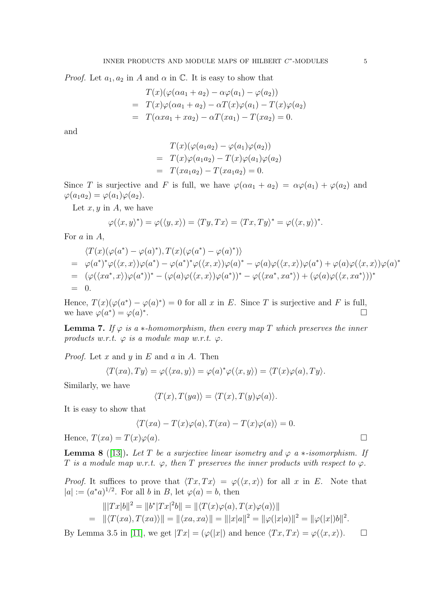*Proof.* Let  $a_1, a_2$  in A and  $\alpha$  in  $\mathbb{C}$ . It is easy to show that

$$
T(x)(\varphi(\alpha a_1 + a_2) - \alpha \varphi(a_1) - \varphi(a_2))
$$
  
= 
$$
T(x)\varphi(\alpha a_1 + a_2) - \alpha T(x)\varphi(a_1) - T(x)\varphi(a_2)
$$
  
= 
$$
T(\alpha xa_1 + xa_2) - \alpha T(xa_1) - T(xa_2) = 0.
$$

and

$$
T(x)(\varphi(a_1 a_2) - \varphi(a_1)\varphi(a_2))
$$
  
= 
$$
T(x)\varphi(a_1 a_2) - T(x)\varphi(a_1)\varphi(a_2)
$$
  
= 
$$
T(xa_1 a_2) - T(xa_1 a_2) = 0.
$$

Since T is surjective and F is full, we have  $\varphi(\alpha a_1 + a_2) = \alpha \varphi(a_1) + \varphi(a_2)$  and  $\varphi(a_1a_2) = \varphi(a_1)\varphi(a_2).$ 

Let  $x, y$  in  $A$ , we have

$$
\varphi(\langle x, y \rangle^*) = \varphi(\langle y, x \rangle) = \langle Ty, Tx \rangle = \langle Tx, Ty \rangle^* = \varphi(\langle x, y \rangle)^*.
$$

For a in A,

$$
\langle T(x)(\varphi(a^*) - \varphi(a)^*), T(x)(\varphi(a^*) - \varphi(a)^*) \rangle
$$
  
=  $\varphi(a^*)^*\varphi(\langle x, x \rangle)\varphi(a^*) - \varphi(a^*)^*\varphi(\langle x, x \rangle)\varphi(a)^* - \varphi(a)\varphi(\langle x, x \rangle)\varphi(a^*) + \varphi(a)\varphi(\langle x, x \rangle)\varphi(a)^*$   
=  $(\varphi(\langle xa^*, x \rangle)\varphi(a^*))^* - (\varphi(a)\varphi(\langle x, x \rangle)\varphi(a^*))^* - \varphi(\langle xa^*, xa^* \rangle) + (\varphi(a)\varphi(\langle x, xa^* \rangle))^*$   
= 0.

Hence,  $T(x)(\varphi(a^*) - \varphi(a)^*) = 0$  for all x in E. Since T is surjective and F is full, we have  $\varphi(a^*) = \varphi(a)^*$ .

<span id="page-4-0"></span>**Lemma 7.** If  $\varphi$  is a  $*$ -homomorphism, then every map T which preserves the inner products w.r.t.  $\varphi$  is a module map w.r.t.  $\varphi$ .

*Proof.* Let  $x$  and  $y$  in  $E$  and  $a$  in  $A$ . Then

$$
\langle T(xa), Ty \rangle = \varphi(\langle xa, y \rangle) = \varphi(a)^* \varphi(\langle x, y \rangle) = \langle T(x) \varphi(a), Ty \rangle.
$$

Similarly, we have

$$
\langle T(x), T(ya) \rangle = \langle T(x), T(y)\varphi(a) \rangle.
$$

It is easy to show that

$$
\langle T(xa) - T(x)\varphi(a), T(xa) - T(x)\varphi(a) \rangle = 0.
$$

Hence,  $T(xa) = T(x)\varphi(a)$ .

**Lemma 8** ([\[13\]](#page-6-4)). Let T be a surjective linear isometry and  $\varphi$  a  $*-isomorphism$ . If T is a module map w.r.t.  $\varphi$ , then T preserves the inner products with respect to  $\varphi$ .

*Proof.* It suffices to prove that  $\langle Tx, Tx \rangle = \varphi(\langle x, x \rangle)$  for all x in E. Note that  $|a| := (a^*a)^{1/2}$ . For all b in B, let  $\varphi(a) = b$ , then

$$
\| |Tx|b\|^2 = \|b^*|Tx|^2b\| = \| \langle T(x)\varphi(a), T(x)\varphi(a) \rangle \| \n= \| \langle T(xa), T(xa) \rangle \| = \| \langle xa, xa \rangle \| = \| |x|a\|^2 = \| \varphi(|x|a)\|^2 = \| \varphi(|x|)b\|^2.
$$

By Lemma 3.5 in [\[11\]](#page-6-5), we get  $|Tx| = (\varphi(|x|)$  and hence  $\langle Tx, Tx \rangle = \varphi(\langle x, x \rangle)$ .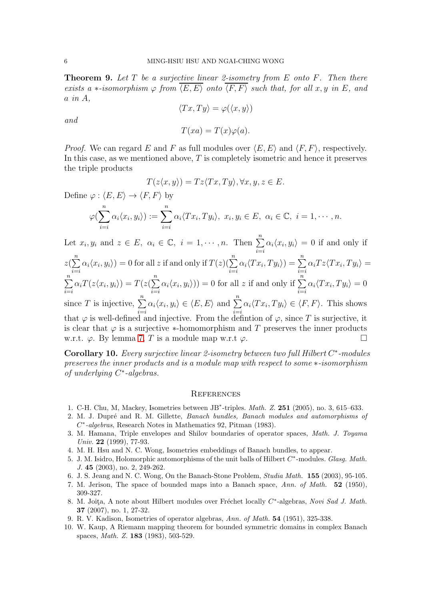<span id="page-5-2"></span>**Theorem 9.** Let  $T$  be a surjective linear 2-isometry from  $E$  onto  $F$ . Then there exists a  $*$ -isomorphism  $\varphi$  from  $\overline{\langle E, E \rangle}$  onto  $\overline{\langle F, F \rangle}$  such that, for all x, y in E, and  $a$  in  $A$ ,

$$
\langle Tx, Ty \rangle = \varphi(\langle x, y \rangle)
$$

and

$$
T(xa) = T(x)\varphi(a).
$$

*Proof.* We can regard E and F as full modules over  $\langle E, E \rangle$  and  $\langle F, F \rangle$ , respectively. In this case, as we mentioned above,  $T$  is completely isometric and hence it preserves the triple products

$$
T(z\langle x,y\rangle)=Tz\langle Tx,Ty\rangle, \forall x,y,z\in E.
$$

Define  $\varphi : \langle E, E \rangle \to \langle F, F \rangle$  by

$$
\varphi(\sum_{i=i}^n \alpha_i \langle x_i, y_i \rangle) := \sum_{i=i}^n \alpha_i \langle Tx_i, Ty_i \rangle, \ x_i, y_i \in E, \ \alpha_i \in \mathbb{C}, \ i = 1, \cdots, n.
$$

Let  $x_i, y_i$  and  $z \in E$ ,  $\alpha_i \in \mathbb{C}$ ,  $i = 1, \dots, n$ . Then  $\sum_{i=1}^{n}$  $i = i$  $\alpha_i \langle x_i, y_i \rangle = 0$  if and only if

$$
z(\sum_{i=i}^{n} \alpha_i \langle x_i, y_i \rangle) = 0 \text{ for all } z \text{ if and only if } T(z)(\sum_{i=i}^{n} \alpha_i \langle Tx_i, Ty_i \rangle) = \sum_{i=i}^{n} \alpha_i T z \langle Tx_i, Ty_i \rangle =
$$

$$
\sum_{i=i}^{n} \alpha_i T(z \langle x_i, y_i \rangle) = T(z(\sum_{i=i}^{n} \alpha_i \langle x_i, y_i \rangle)) = 0 \text{ for all } z \text{ if and only if } \sum_{i=i}^{n} \alpha_i \langle Tx_i, Ty_i \rangle = 0
$$
  
since *T* is injective,  $\sum_{i=i}^{n} \alpha_i \langle x_i, y_i \rangle \in \langle E, E \rangle$  and  $\sum_{i=i}^{n} \alpha_i \langle Tx_i, Ty_i \rangle \in \langle F, F \rangle$ . This shows  
that *x* is well defined inhomogeneous. From the definition of *x*, since *T* is a unicative, it

that  $\varphi$  is well-defined and injective. From the definiton of  $\varphi$ , since T is surjective, it is clear that  $\varphi$  is a surjective  $*$ -homomorphism and T preserves the inner products w.r.t.  $\varphi$ . By lemma [7,](#page-4-0) T is a module map w.r.t  $\varphi$ .

Corollary 10. Every surjective linear 2-isometry between two full Hilbert  $C^*$ -modules preserves the inner products and is a module map with respect to some ∗-isomorphism  $\overline{c}$  of underlying  $C^*$ -algebras.

## **REFERENCES**

- <span id="page-5-5"></span>1. C-H. Chu, M, Mackey, Isometries between JB<sup>∗</sup>-triples. Math. Z. 251 (2005), no. 3, 615–633.
- 2. M. J. Dupré and R. M. Gillette, Banach bundles, Banach modules and automorphisms of C ∗ -algebras, Research Notes in Mathematics 92, Pitman (1983).
- <span id="page-5-6"></span>3. M. Hamana, Triple envelopes and Shilov boundaries of operator spaces, Math. J. Toyama Univ. 22 (1999), 77-93.
- <span id="page-5-7"></span><span id="page-5-3"></span>4. M. H. Hsu and N. C. Wong, Isometries embeddings of Banach bundles, to appear.
- 5. J. M. Isidro, Holomorphic automorphisms of the unit balls of Hilbert  $C^*$ -modules. *Glasg. Math.* J. 45 (2003), no. 2, 249-262.
- <span id="page-5-1"></span><span id="page-5-0"></span>6. J. S. Jeang and N. C. Wong, On the Banach-Stone Problem, Studia Math. 155 (2003), 95-105.
- 7. M. Jerison, The space of bounded maps into a Banach space, Ann. of Math. 52 (1950), 309-327.
- <span id="page-5-8"></span>8. M. Joita, A note about Hilbert modules over Fréchet locally C<sup>\*</sup>-algebras, Novi Sad J. Math. 37 (2007), no. 1, 27-32.
- <span id="page-5-4"></span>9. R. V. Kadison, Isometries of operator algebras, Ann. of Math. 54 (1951), 325-338.
- 10. W. Kaup, A Riemann mapping theorem for bounded symmetric domains in complex Banach spaces, Math. Z. 183 (1983), 503-529.